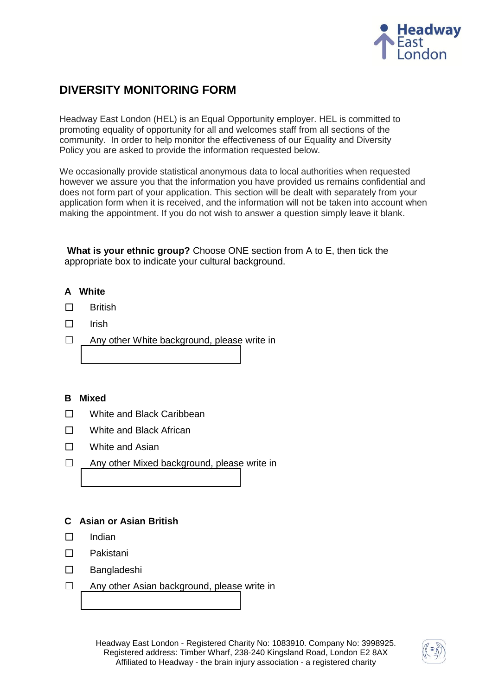

# **DIVERSITY MONITORING FORM**

Headway East London (HEL) is an Equal Opportunity employer. HEL is committed to promoting equality of opportunity for all and welcomes staff from all sections of the community. In order to help monitor the effectiveness of our Equality and Diversity Policy you are asked to provide the information requested below.

We occasionally provide statistical anonymous data to local authorities when requested however we assure you that the information you have provided us remains confidential and does not form part of your application. This section will be dealt with separately from your application form when it is received, and the information will not be taken into account when making the appointment. If you do not wish to answer a question simply leave it blank.

**What is your ethnic group?** Choose ONE section from A to E, then tick the appropriate box to indicate your cultural background.

# **A White**

- ☐British
- ☐Irish
- ☐ Any other White background, please write in

#### **B Mixed**

- ☐White and Black Caribbean
- ☐White and Black African
- ☐White and Asian
- ☐ Any other Mixed background, please write in

#### **C Asian or Asian British**

- ☐Indian
- ☐Pakistani
- ☐Bangladeshi
- ☐ Any other Asian background, please write in